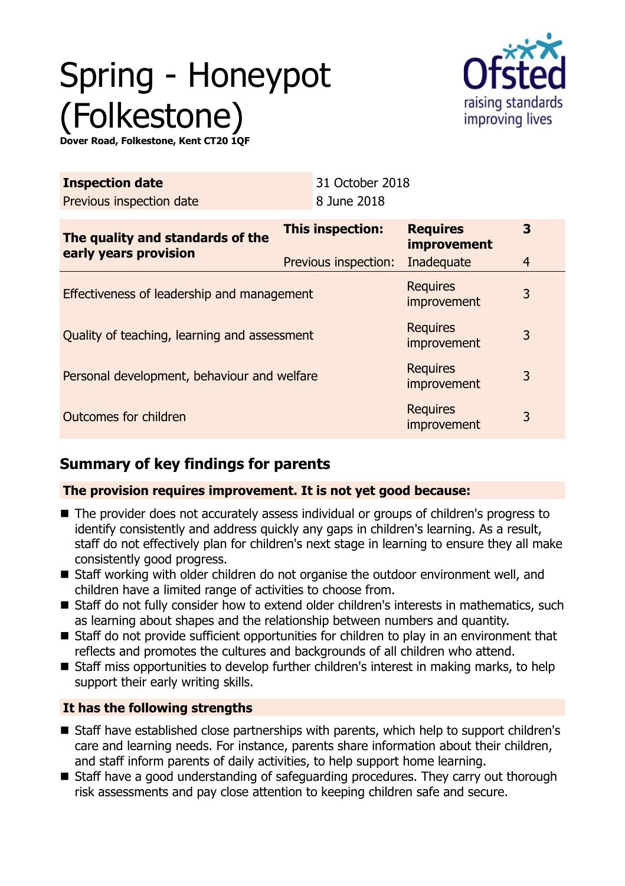# Spring - Honeypot (Folkestone)



**Dover Road, Folkestone, Kent CT20 1QF**

| <b>Inspection date</b><br>Previous inspection date        | 31 October 2018<br>8 June 2018           |                                                     |                     |
|-----------------------------------------------------------|------------------------------------------|-----------------------------------------------------|---------------------|
| The quality and standards of the<br>early years provision | This inspection:<br>Previous inspection: | <b>Requires</b><br><b>improvement</b><br>Inadequate | 3<br>$\overline{4}$ |
| Effectiveness of leadership and management                |                                          | <b>Requires</b><br>improvement                      | 3                   |
| Quality of teaching, learning and assessment              |                                          | <b>Requires</b><br>improvement                      | 3                   |
| Personal development, behaviour and welfare               |                                          | <b>Requires</b><br>improvement                      | 3                   |
| Outcomes for children                                     |                                          | <b>Requires</b><br>improvement                      | 3                   |

# **Summary of key findings for parents**

#### **The provision requires improvement. It is not yet good because:**

- The provider does not accurately assess individual or groups of children's progress to identify consistently and address quickly any gaps in children's learning. As a result, staff do not effectively plan for children's next stage in learning to ensure they all make consistently good progress.
- Staff working with older children do not organise the outdoor environment well, and children have a limited range of activities to choose from.
- Staff do not fully consider how to extend older children's interests in mathematics, such as learning about shapes and the relationship between numbers and quantity.
- Staff do not provide sufficient opportunities for children to play in an environment that reflects and promotes the cultures and backgrounds of all children who attend.
- Staff miss opportunities to develop further children's interest in making marks, to help support their early writing skills.

### **It has the following strengths**

- Staff have established close partnerships with parents, which help to support children's care and learning needs. For instance, parents share information about their children, and staff inform parents of daily activities, to help support home learning.
- Staff have a good understanding of safeguarding procedures. They carry out thorough risk assessments and pay close attention to keeping children safe and secure.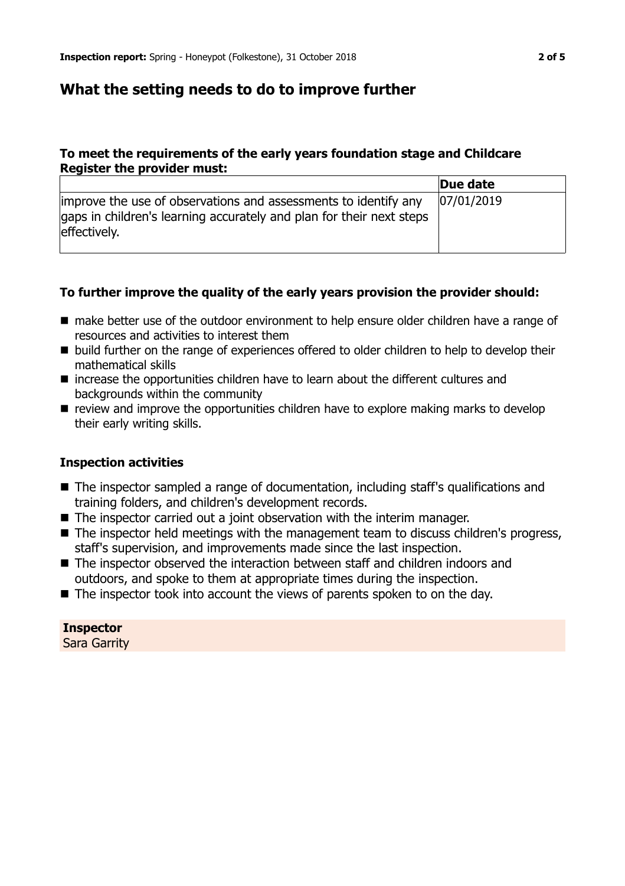## **What the setting needs to do to improve further**

#### **To meet the requirements of the early years foundation stage and Childcare Register the provider must:**

|                                                                                                                                                         | Due date   |
|---------------------------------------------------------------------------------------------------------------------------------------------------------|------------|
| improve the use of observations and assessments to identify any<br>gaps in children's learning accurately and plan for their next steps<br>effectively. | 07/01/2019 |

#### **To further improve the quality of the early years provision the provider should:**

- $\blacksquare$  make better use of the outdoor environment to help ensure older children have a range of resources and activities to interest them
- build further on the range of experiences offered to older children to help to develop their mathematical skills
- $\blacksquare$  increase the opportunities children have to learn about the different cultures and backgrounds within the community
- $\blacksquare$  review and improve the opportunities children have to explore making marks to develop their early writing skills.

#### **Inspection activities**

- $\blacksquare$  The inspector sampled a range of documentation, including staff's qualifications and training folders, and children's development records.
- $\blacksquare$  The inspector carried out a joint observation with the interim manager.
- $\blacksquare$  The inspector held meetings with the management team to discuss children's progress, staff's supervision, and improvements made since the last inspection.
- $\blacksquare$  The inspector observed the interaction between staff and children indoors and outdoors, and spoke to them at appropriate times during the inspection.
- $\blacksquare$  The inspector took into account the views of parents spoken to on the day.

**Inspector** Sara Garrity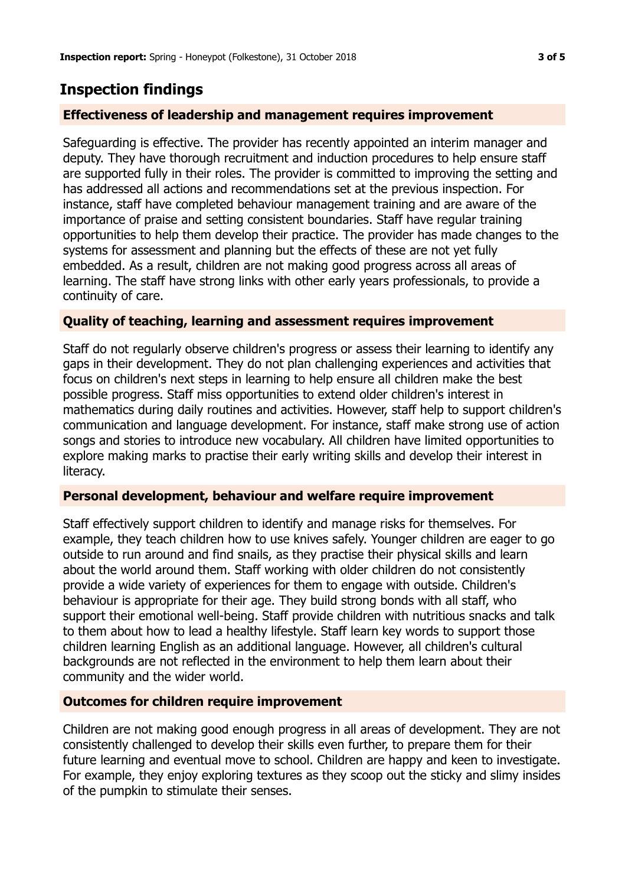## **Inspection findings**

#### **Effectiveness of leadership and management requires improvement**

Safeguarding is effective. The provider has recently appointed an interim manager and deputy. They have thorough recruitment and induction procedures to help ensure staff are supported fully in their roles. The provider is committed to improving the setting and has addressed all actions and recommendations set at the previous inspection. For instance, staff have completed behaviour management training and are aware of the importance of praise and setting consistent boundaries. Staff have regular training opportunities to help them develop their practice. The provider has made changes to the systems for assessment and planning but the effects of these are not yet fully embedded. As a result, children are not making good progress across all areas of learning. The staff have strong links with other early years professionals, to provide a continuity of care.

#### **Quality of teaching, learning and assessment requires improvement**

Staff do not regularly observe children's progress or assess their learning to identify any gaps in their development. They do not plan challenging experiences and activities that focus on children's next steps in learning to help ensure all children make the best possible progress. Staff miss opportunities to extend older children's interest in mathematics during daily routines and activities. However, staff help to support children's communication and language development. For instance, staff make strong use of action songs and stories to introduce new vocabulary. All children have limited opportunities to explore making marks to practise their early writing skills and develop their interest in literacy.

#### **Personal development, behaviour and welfare require improvement**

Staff effectively support children to identify and manage risks for themselves. For example, they teach children how to use knives safely. Younger children are eager to go outside to run around and find snails, as they practise their physical skills and learn about the world around them. Staff working with older children do not consistently provide a wide variety of experiences for them to engage with outside. Children's behaviour is appropriate for their age. They build strong bonds with all staff, who support their emotional well-being. Staff provide children with nutritious snacks and talk to them about how to lead a healthy lifestyle. Staff learn key words to support those children learning English as an additional language. However, all children's cultural backgrounds are not reflected in the environment to help them learn about their community and the wider world.

#### **Outcomes for children require improvement**

Children are not making good enough progress in all areas of development. They are not consistently challenged to develop their skills even further, to prepare them for their future learning and eventual move to school. Children are happy and keen to investigate. For example, they enjoy exploring textures as they scoop out the sticky and slimy insides of the pumpkin to stimulate their senses.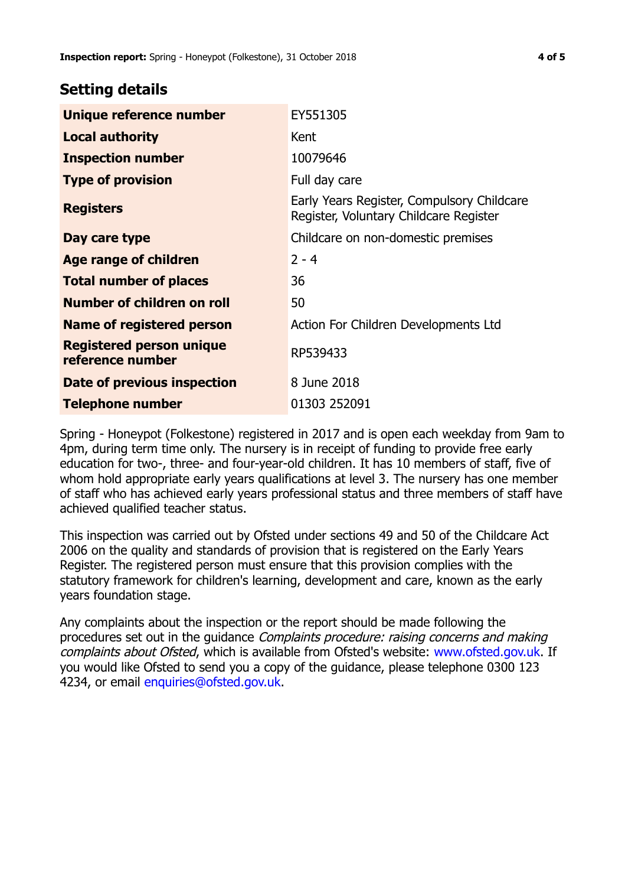## **Setting details**

| Unique reference number                             | EY551305                                                                             |
|-----------------------------------------------------|--------------------------------------------------------------------------------------|
| <b>Local authority</b>                              | Kent                                                                                 |
| <b>Inspection number</b>                            | 10079646                                                                             |
| <b>Type of provision</b>                            | Full day care                                                                        |
| <b>Registers</b>                                    | Early Years Register, Compulsory Childcare<br>Register, Voluntary Childcare Register |
| Day care type                                       | Childcare on non-domestic premises                                                   |
| Age range of children                               | $2 - 4$                                                                              |
| <b>Total number of places</b>                       | 36                                                                                   |
| Number of children on roll                          | 50                                                                                   |
| Name of registered person                           | Action For Children Developments Ltd                                                 |
| <b>Registered person unique</b><br>reference number | RP539433                                                                             |
| Date of previous inspection                         | 8 June 2018                                                                          |
| <b>Telephone number</b>                             | 01303 252091                                                                         |

Spring - Honeypot (Folkestone) registered in 2017 and is open each weekday from 9am to 4pm, during term time only. The nursery is in receipt of funding to provide free early education for two-, three- and four-year-old children. It has 10 members of staff, five of whom hold appropriate early years qualifications at level 3. The nursery has one member of staff who has achieved early years professional status and three members of staff have achieved qualified teacher status.

This inspection was carried out by Ofsted under sections 49 and 50 of the Childcare Act 2006 on the quality and standards of provision that is registered on the Early Years Register. The registered person must ensure that this provision complies with the statutory framework for children's learning, development and care, known as the early years foundation stage.

Any complaints about the inspection or the report should be made following the procedures set out in the guidance Complaints procedure: raising concerns and making complaints about Ofsted, which is available from Ofsted's website: www.ofsted.gov.uk. If you would like Ofsted to send you a copy of the guidance, please telephone 0300 123 4234, or email [enquiries@ofsted.gov.uk.](mailto:enquiries@ofsted.gov.uk)